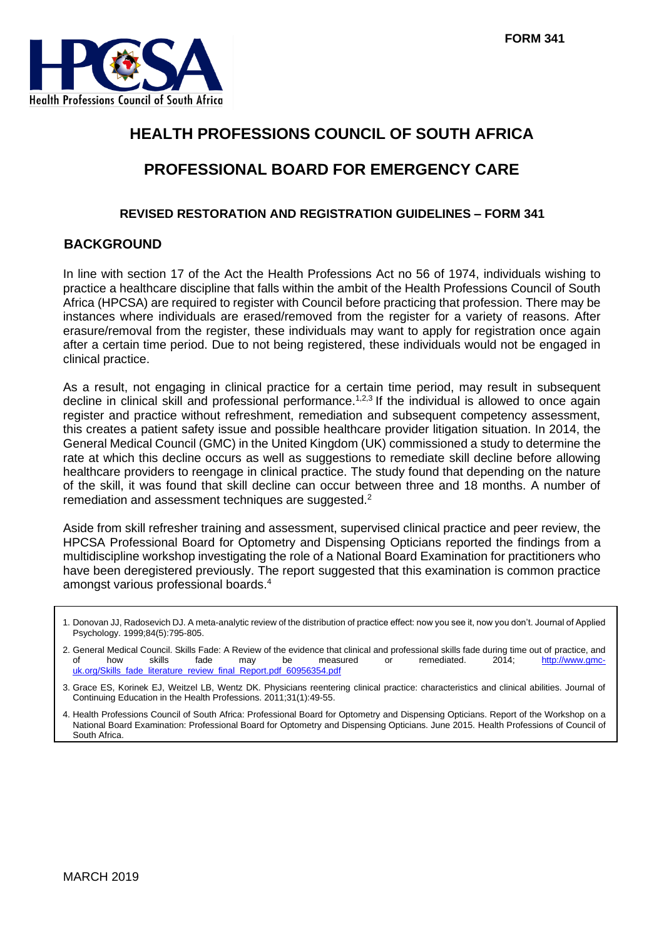

# **HEALTH PROFESSIONS COUNCIL OF SOUTH AFRICA**

# **PROFESSIONAL BOARD FOR EMERGENCY CARE**

#### **REVISED RESTORATION AND REGISTRATION GUIDELINES – FORM 341**

## **BACKGROUND**

In line with section 17 of the Act the Health Professions Act no 56 of 1974, individuals wishing to practice a healthcare discipline that falls within the ambit of the Health Professions Council of South Africa (HPCSA) are required to register with Council before practicing that profession. There may be instances where individuals are erased/removed from the register for a variety of reasons. After erasure/removal from the register, these individuals may want to apply for registration once again after a certain time period. Due to not being registered, these individuals would not be engaged in clinical practice.

As a result, not engaging in clinical practice for a certain time period, may result in subsequent decline in clinical skill and professional performance.<sup>1,2,3</sup> If the individual is allowed to once again register and practice without refreshment, remediation and subsequent competency assessment, this creates a patient safety issue and possible healthcare provider litigation situation. In 2014, the General Medical Council (GMC) in the United Kingdom (UK) commissioned a study to determine the rate at which this decline occurs as well as suggestions to remediate skill decline before allowing healthcare providers to reengage in clinical practice. The study found that depending on the nature of the skill, it was found that skill decline can occur between three and 18 months. A number of remediation and assessment techniques are suggested.<sup>2</sup>

Aside from skill refresher training and assessment, supervised clinical practice and peer review, the HPCSA Professional Board for Optometry and Dispensing Opticians reported the findings from a multidiscipline workshop investigating the role of a National Board Examination for practitioners who have been deregistered previously. The report suggested that this examination is common practice amongst various professional boards.<sup>4</sup>

1. Donovan JJ, Radosevich DJ. A meta-analytic review of the distribution of practice effect: now you see it, now you don't. Journal of Applied Psychology. 1999;84(5):795-805.

- 2. General Medical Council. Skills Fade: A Review of the evidence that clinical and professional skills fade during time out of practice, and of http://www.gmc-<br>of http://www.gmc-<br>of the may be measured or remediated. 2014 of how skills fade may be measured or remediated. 2014; <u>http://www.gmc-</u> [uk.org/Skills\\_fade\\_literature\\_review\\_final\\_Report.pdf\\_60956354.pdf](http://www.gmc-uk.org/Skills_fade_literature_review_final_Report.pdf_60956354.pdf)
- 3. Grace ES, Korinek EJ, Weitzel LB, Wentz DK. Physicians reentering clinical practice: characteristics and clinical abilities. Journal of Continuing Education in the Health Professions. 2011;31(1):49-55.

4. Health Professions Council of South Africa: Professional Board for Optometry and Dispensing Opticians. Report of the Workshop on a National Board Examination: Professional Board for Optometry and Dispensing Opticians. June 2015. Health Professions of Council of South Africa.